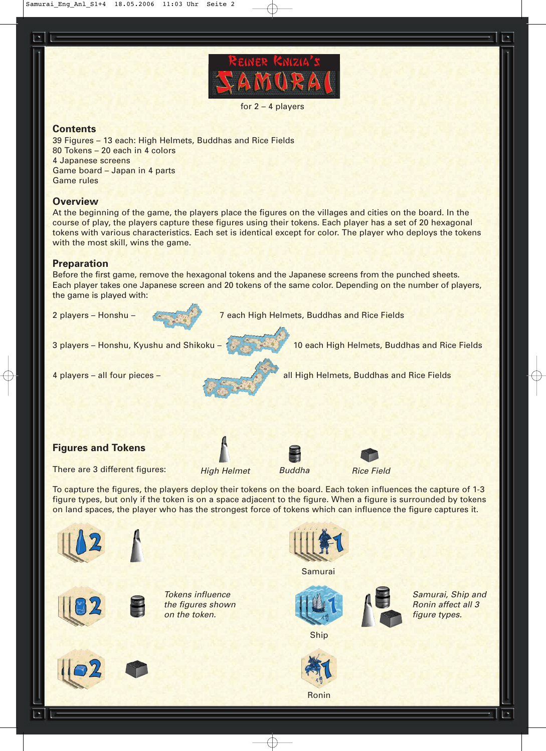

for 2 – 4 players

### **Contents**

39 Figures – 13 each: High Helmets, Buddhas and Rice Fields 80 Tokens – 20 each in 4 colors 4 Japanese screens Game board – Japan in 4 parts Game rules

## **Overview**

At the beginning of the game, the players place the figures on the villages and cities on the board. In the course of play, the players capture these figures using their tokens. Each player has a set of 20 hexagonal tokens with various characteristics. Each set is identical except for color. The player who deploys the tokens with the most skill, wins the game.

### **Preparation**

Before the first game, remove the hexagonal tokens and the Japanese screens from the punched sheets. Each player takes one Japanese screen and 20 tokens of the same color. Depending on the number of players, the game is played with:



Ronin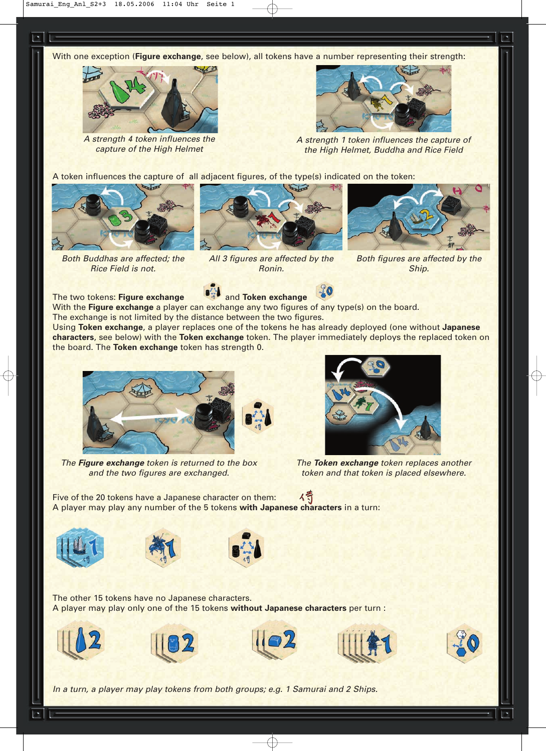With one exception (**Figure exchange**, see below), all tokens have a number representing their strength:



A strength 4 token influences the capture of the High Helmet



A strength 1 token influences the capture of the High Helmet, Buddha and Rice Field

A token influences the capture of all adjacent figures, of the type(s) indicated on the token:



Both Buddhas are affected; the Rice Field is not.



All 3 figures are affected by the Ronin.



Both figures are affected by the Ship.



With the **Figure exchange** a player can exchange any two figures of any type(s) on the board. The exchange is not limited by the distance between the two figures.

Using **Token exchange**, a player replaces one of the tokens he has already deployed (one without **Japanese characters**, see below) with the **Token exchange** token. The player immediately deploys the replaced token on the board. The **Token exchange** token has strength 0.



The **Figure exchange** token is returned to the box and the two figures are exchanged.



The **Token exchange** token replaces another token and that token is placed elsewhere.

行 Five of the 20 tokens have a Japanese character on them: A player may play any number of the 5 tokens **with Japanese characters** in a turn:







The other 15 tokens have no Japanese characters. A player may play only one of the 15 tokens **without Japanese characters** per turn :











In a turn, a player may play tokens from both groups; e.g. 1 Samurai and 2 Ships.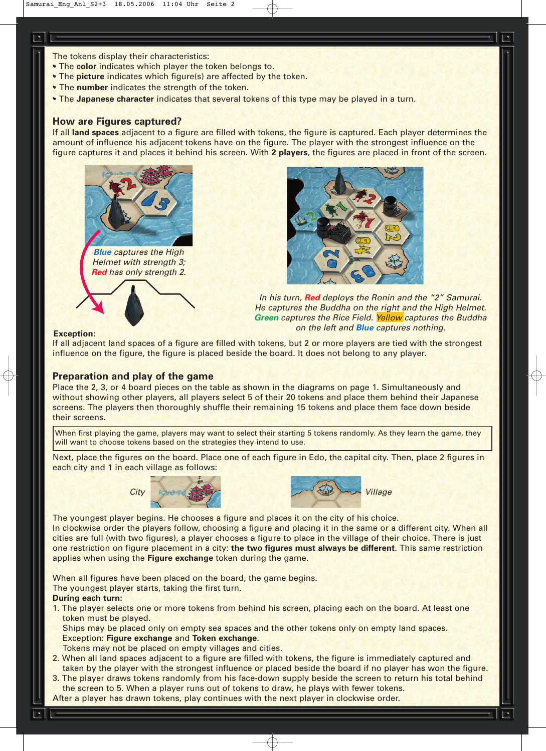- The tokens display their characteristics:
- The **color** indicates which player the token belongs to.
- The **picture** indicates which figure(s) are affected by the token.
- The **number** indicates the strength of the token.
- The **Japanese character** indicates that several tokens of this type may be played in a turn.

## **How are Figures captured?**

If all **land spaces** adjacent to a figure are filled with tokens, the figure is captured. Each player determines the amount of influence his adjacent tokens have on the figure. The player with the strongest influence on the figure captures it and places it behind his screen. With **2 players**, the figures are placed in front of the screen.





In his turn, **Red** deploys the Ronin and the "2" Samurai. He captures the Buddha on the right and the High Helmet. **Green** captures the Rice Field. Yellow captures the Buddha on the left and **Blue** captures nothing.

#### **Exception:**

If all adjacent land spaces of a figure are filled with tokens, but 2 or more players are tied with the strongest influence on the figure, the figure is placed beside the board. It does not belong to any player.

# **Preparation and play of the game**

Place the 2, 3, or 4 board pieces on the table as shown in the diagrams on page 1. Simultaneously and without showing other players, all players select 5 of their 20 tokens and place them behind their Japanese screens. The players then thoroughly shuffle their remaining 15 tokens and place them face down beside their screens.

When first playing the game, players may want to select their starting 5 tokens randomly. As they learn the game, they will want to choose tokens based on the strategies they intend to use.

Next, place the figures on the board. Place one of each figure in Edo, the capital city. Then, place 2 figures in each city and 1 in each village as follows:





The youngest player begins. He chooses a figure and places it on the city of his choice. In clockwise order the players follow, choosing a figure and placing it in the same or a different city. When all cities are full (with two figures), a player chooses a figure to place in the village of their choice. There is just one restriction on figure placement in a city: **the two figures must always be different**. This same restriction applies when using the **Figure exchange** token during the game.

When all figures have been placed on the board, the game begins. The youngest player starts, taking the first turn.

#### **During each turn:**

1. The player selects one or more tokens from behind his screen, placing each on the board. At least one token must be played.

Ships may be placed only on empty sea spaces and the other tokens only on empty land spaces. Exception: **Figure exchange** and **Token exchange**.

Tokens may not be placed on empty villages and cities.

- 2. When all land spaces adjacent to a figure are filled with tokens, the figure is immediately captured and taken by the player with the strongest influence or placed beside the board if no player has won the figure.
- 3. The player draws tokens randomly from his face-down supply beside the screen to return his total behind the screen to 5. When a player runs out of tokens to draw, he plays with fewer tokens.
- After a player has drawn tokens, play continues with the next player in clockwise order.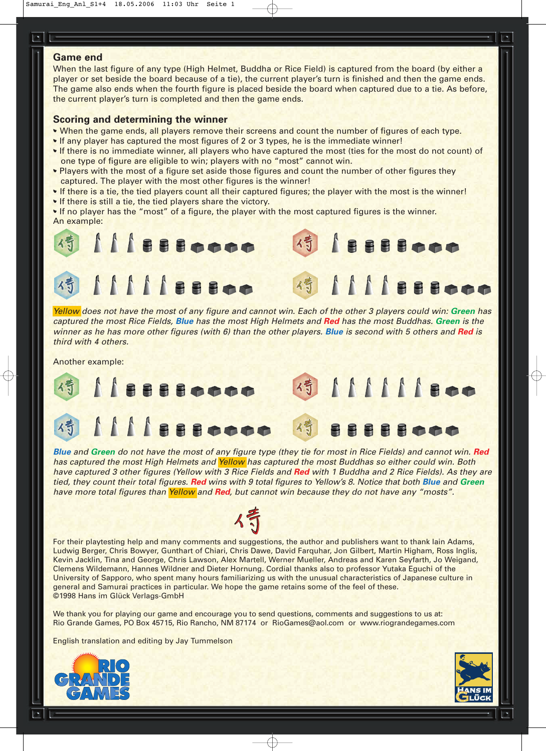# **Game end**

When the last figure of any type (High Helmet, Buddha or Rice Field) is captured from the board (by either a player or set beside the board because of a tie), the current player's turn is finished and then the game ends. The game also ends when the fourth figure is placed beside the board when captured due to a tie. As before, the current player's turn is completed and then the game ends.

## **Scoring and determining the winner**

- When the game ends, all players remove their screens and count the number of figures of each type.
- If any player has captured the most figures of 2 or 3 types, he is the immediate winner!
- If there is no immediate winner, all players who have captured the most (ties for the most do not count) of one type of figure are eligible to win; players with no "most" cannot win.
- Players with the most of a figure set aside those figures and count the number of other figures they captured. The player with the most other figures is the winner!
- If there is a tie, the tied players count all their captured figures; the player with the most is the winner!
- If there is still a tie, the tied players share the victory.

• If no player has the "most" of a figure, the player with the most captured figures is the winner. An example:



Yellow does not have the most of any figure and cannot win. Each of the other 3 players could win: **Green** has captured the most Rice Fields, **Blue** has the most High Helmets and **Red** has the most Buddhas. **Green** is the winner as he has more other figures (with 6) than the other players. **Blue** is second with 5 others and **Red** is third with 4 others.

Another example:



**Blue** and **Green** do not have the most of any figure type (they tie for most in Rice Fields) and cannot win. **Red** has captured the most High Helmets and Yellow has captured the most Buddhas so either could win. Both have captured 3 other figures (Yellow with 3 Rice Fields and **Red** with 1 Buddha and 2 Rice Fields). As they are tied, they count their total figures. **Red** wins with 9 total figures to Yellow's 8. Notice that both **Blue** and **Green** have more total figures than Yellow and **Red**, but cannot win because they do not have any "mosts".

For their playtesting help and many comments and suggestions, the author and publishers want to thank Iain Adams, Ludwig Berger, Chris Bowyer, Gunthart of Chiari, Chris Dawe, David Farquhar, Jon Gilbert, Martin Higham, Ross Inglis, Kevin Jacklin, Tina and George, Chris Lawson, Alex Martell, Werner Mueller, Andreas and Karen Seyfarth, Jo Weigand, Clemens Wildemann, Hannes Wildner and Dieter Hornung. Cordial thanks also to professor Yutaka Eguchi of the University of Sapporo, who spent many hours familiarizing us with the unusual characteristics of Japanese culture in general and Samurai practices in particular. We hope the game retains some of the feel of these. ©1998 Hans im Glück Verlags-GmbH

We thank you for playing our game and encourage you to send questions, comments and suggestions to us at: Rio Grande Games, PO Box 45715, Rio Rancho, NM 87174 or RioGames@aol.com or www.riograndegames.com

English translation and editing by Jay Tummelson



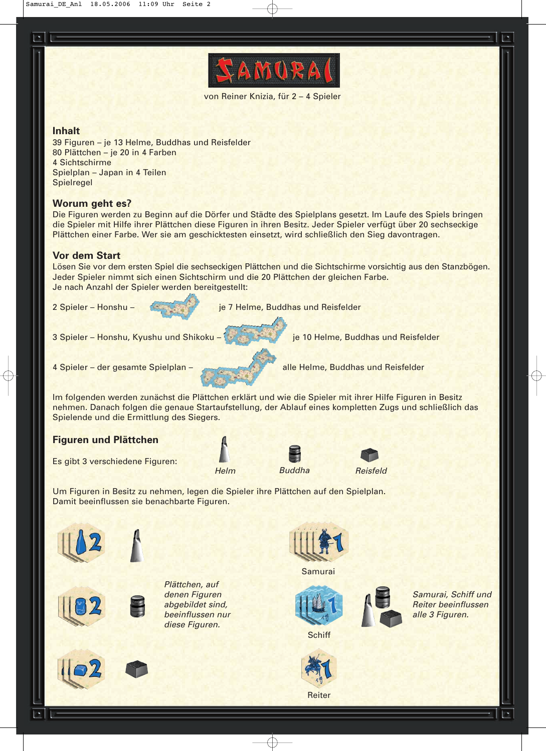

von Reiner Knizia, für 2 – 4 Spieler

# **Inhalt**

39 Figuren – je 13 Helme, Buddhas und Reisfelder 80 Plättchen – je 20 in 4 Farben 4 Sichtschirme Spielplan – Japan in 4 Teilen **Spielregel** 

# **Worum geht es?**

Die Figuren werden zu Beginn auf die Dörfer und Städte des Spielplans gesetzt. Im Laufe des Spiels bringen die Spieler mit Hilfe ihrer Plättchen diese Figuren in ihren Besitz. Jeder Spieler verfügt über 20 sechseckige Plättchen einer Farbe. Wer sie am geschicktesten einsetzt, wird schließlich den Sieg davontragen.

# **Vor dem Start**

Lösen Sie vor dem ersten Spiel die sechseckigen Plättchen und die Sichtschirme vorsichtig aus den Stanzbögen. Jeder Spieler nimmt sich einen Sichtschirm und die 20 Plättchen der gleichen Farbe. Je nach Anzahl der Spieler werden bereitgestellt:



Damit beeinflussen sie benachbarte Figuren.





Samurai









**Schiff** 

Samurai, Schiff und Reiter beeinflussen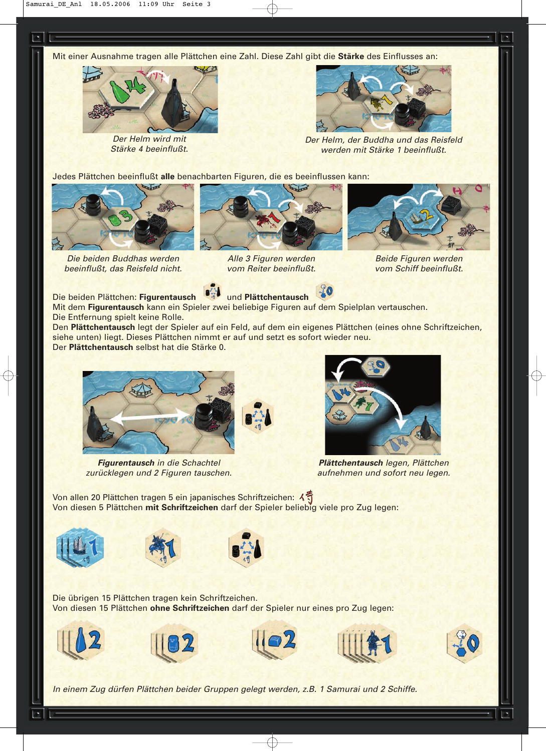Mit einer Ausnahme tragen alle Plättchen eine Zahl. Diese Zahl gibt die **Stärke** des Einflusses an:



Der Helm wird mit Stärke 4 beeinflußt.



Der Helm, der Buddha und das Reisfeld werden mit Stärke 1 beeinflußt.

Jedes Plättchen beeinflußt **alle** benachbarten Figuren, die es beeinflussen kann:



Die beiden Buddhas werden beeinflußt, das Reisfeld nicht.



Alle 3 Figuren werden vom Reiter beeinflußt.



Beide Figuren werden vom Schiff beeinflußt.



Mit dem **Figurentausch** kann ein Spieler zwei beliebige Figuren auf dem Spielplan vertauschen. Die Entfernung spielt keine Rolle.

Den **Plättchentausch** legt der Spieler auf ein Feld, auf dem ein eigenes Plättchen (eines ohne Schriftzeichen, siehe unten) liegt. Dieses Plättchen nimmt er auf und setzt es sofort wieder neu. Der **Plättchentausch** selbst hat die Stärke 0.



**Figurentausch** in die Schachtel zurücklegen und 2 Figuren tauschen.



**Plättchentausch** legen, Plättchen aufnehmen und sofort neu legen.

Von allen 20 Plättchen tragen 5 ein japanisches Schriftzeichen: Von diesen 5 Plättchen **mit Schriftzeichen** darf der Spieler beliebig viele pro Zug legen:







Die übrigen 15 Plättchen tragen kein Schriftzeichen. Von diesen 15 Plättchen **ohne Schriftzeichen** darf der Spieler nur eines pro Zug legen:











In einem Zug dürfen Plättchen beider Gruppen gelegt werden, z.B. 1 Samurai und 2 Schiffe.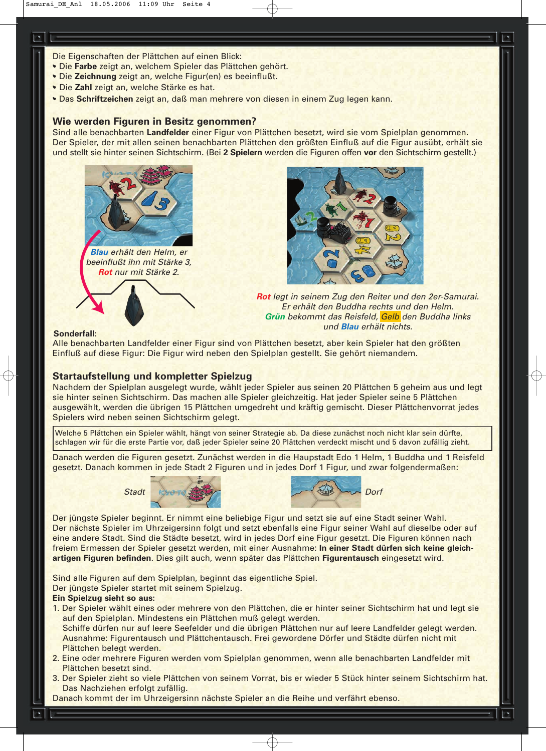Die Eigenschaften der Plättchen auf einen Blick:

- Die **Farbe** zeigt an, welchem Spieler das Plättchen gehört.
- Die **Zeichnung** zeigt an, welche Figur(en) es beeinflußt.
- Die **Zahl** zeigt an, welche Stärke es hat.
- Das **Schriftzeichen** zeigt an, daß man mehrere von diesen in einem Zug legen kann.

## **Wie werden Figuren in Besitz genommen?**

Sind alle benachbarten **Landfelder** einer Figur von Plättchen besetzt, wird sie vom Spielplan genommen. Der Spieler, der mit allen seinen benachbarten Plättchen den größten Einfluß auf die Figur ausübt, erhält sie und stellt sie hinter seinen Sichtschirm. (Bei **2 Spielern** werden die Figuren offen **vor** den Sichtschirm gestellt.)





**Rot** legt in seinem Zug den Reiter und den 2er-Samurai. Er erhält den Buddha rechts und den Helm. **Grün** bekommt das Reisfeld, Gelb den Buddha links und **Blau** erhält nichts.

#### **Sonderfall:**

Alle benachbarten Landfelder einer Figur sind von Plättchen besetzt, aber kein Spieler hat den größten Einfluß auf diese Figur: Die Figur wird neben den Spielplan gestellt. Sie gehört niemandem.

# **Startaufstellung und kompletter Spielzug**

Nachdem der Spielplan ausgelegt wurde, wählt jeder Spieler aus seinen 20 Plättchen 5 geheim aus und legt sie hinter seinen Sichtschirm. Das machen alle Spieler gleichzeitig. Hat jeder Spieler seine 5 Plättchen ausgewählt, werden die übrigen 15 Plättchen umgedreht und kräftig gemischt. Dieser Plättchenvorrat jedes Spielers wird neben seinen Sichtschirm gelegt.

Welche 5 Plättchen ein Spieler wählt, hängt von seiner Strategie ab. Da diese zunächst noch nicht klar sein dürfte, schlagen wir für die erste Partie vor, daß jeder Spieler seine 20 Plättchen verdeckt mischt und 5 davon zufällig zieht.

Danach werden die Figuren gesetzt. Zunächst werden in die Haupstadt Edo 1 Helm, 1 Buddha und 1 Reisfeld gesetzt. Danach kommen in jede Stadt 2 Figuren und in jedes Dorf 1 Figur, und zwar folgendermaßen:





Der jüngste Spieler beginnt. Er nimmt eine beliebige Figur und setzt sie auf eine Stadt seiner Wahl. Der nächste Spieler im Uhrzeigersinn folgt und setzt ebenfalls eine Figur seiner Wahl auf dieselbe oder auf eine andere Stadt. Sind die Städte besetzt, wird in jedes Dorf eine Figur gesetzt. Die Figuren können nach freiem Ermessen der Spieler gesetzt werden, mit einer Ausnahme: **In einer Stadt dürfen sich keine gleichartigen Figuren befinden**. Dies gilt auch, wenn später das Plättchen **Figurentausch** eingesetzt wird.

Sind alle Figuren auf dem Spielplan, beginnt das eigentliche Spiel. Der jüngste Spieler startet mit seinem Spielzug.

#### **Ein Spielzug sieht so aus:**

- 1. Der Spieler wählt eines oder mehrere von den Plättchen, die er hinter seiner Sichtschirm hat und legt sie auf den Spielplan. Mindestens ein Plättchen muß gelegt werden. Schiffe dürfen nur auf leere Seefelder und die übrigen Plättchen nur auf leere Landfelder gelegt werden. Ausnahme: Figurentausch und Plättchentausch. Frei gewordene Dörfer und Städte dürfen nicht mit Plättchen belegt werden.
- 2. Eine oder mehrere Figuren werden vom Spielplan genommen, wenn alle benachbarten Landfelder mit Plättchen besetzt sind.
- 3. Der Spieler zieht so viele Plättchen von seinem Vorrat, bis er wieder 5 Stück hinter seinem Sichtschirm hat. Das Nachziehen erfolgt zufällig.

Danach kommt der im Uhrzeigersinn nächste Spieler an die Reihe und verfährt ebenso.